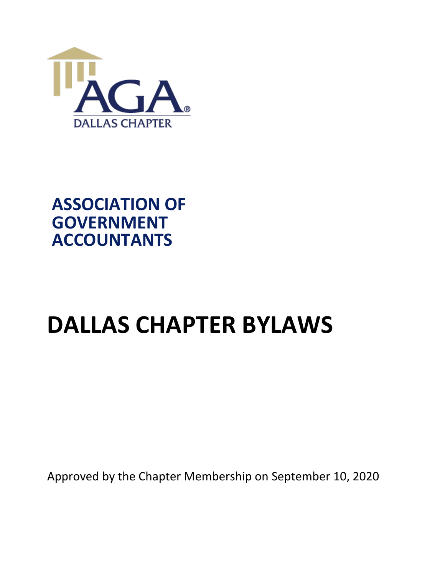

# **ASSOCIATION OF GOVERNMENT ACCOUNTANTS**

# **DALLAS CHAPTER BYLAWS**

Approved by the Chapter Membership on September 10, 2020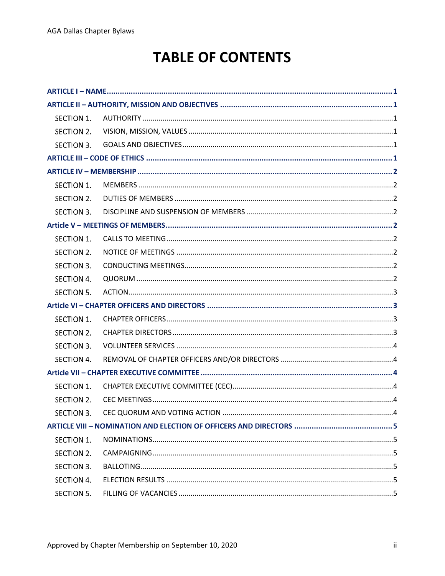# **TABLE OF CONTENTS**

| SECTION 1. |  |
|------------|--|
| SECTION 2. |  |
| SECTION 3. |  |
|            |  |
|            |  |
| SECTION 1. |  |
| SECTION 2. |  |
| SECTION 3. |  |
|            |  |
| SECTION 1. |  |
| SECTION 2. |  |
| SECTION 3. |  |
| SECTION 4. |  |
| SECTION 5. |  |
|            |  |
| SECTION 1. |  |
| SECTION 2. |  |
| SECTION 3. |  |
| SECTION 4. |  |
|            |  |
| SECTION 1. |  |
| SECTION 2. |  |
|            |  |
|            |  |
| SECTION 1. |  |
| SECTION 2. |  |
| SECTION 3. |  |
| SECTION 4. |  |
| SECTION 5. |  |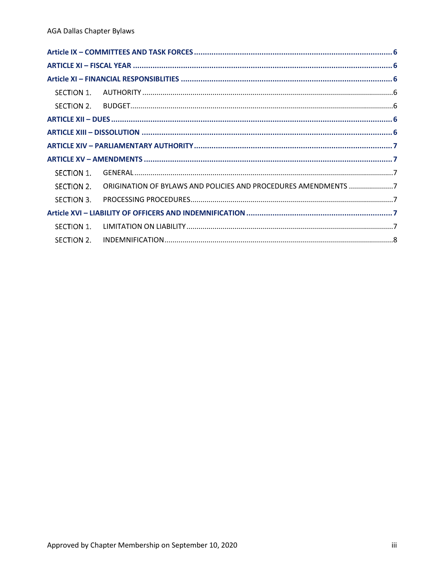| SECTION 1. |                                                                |  |
|------------|----------------------------------------------------------------|--|
| SECTION 2. | ORIGINATION OF BYLAWS AND POLICIES AND PROCEDURES AMENDMENTS 7 |  |
| SECTION 3. |                                                                |  |
|            |                                                                |  |
| SECTION 1. |                                                                |  |
| SECTION 2. |                                                                |  |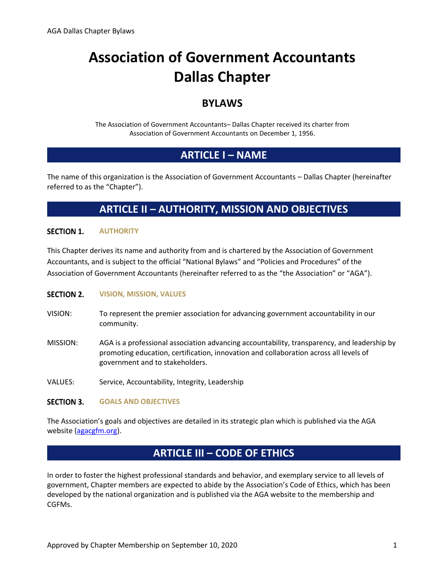# **Association of Government Accountants Dallas Chapter**

### **BYLAWS**

The Association of Government Accountants– Dallas Chapter received its charter from Association of Government Accountants on December 1, 1956.

### **ARTICLE I – NAME**

<span id="page-3-0"></span>The name of this organization is the Association of Government Accountants – Dallas Chapter (hereinafter referred to as the "Chapter").

### **ARTICLE II – AUTHORITY, MISSION AND OBJECTIVES**

#### <span id="page-3-2"></span><span id="page-3-1"></span>**SECTION 1. AUTHORITY**

This Chapter derives its name and authority from and is chartered by the Association of Government Accountants, and is subject to the official "National Bylaws" and "Policies and Procedures" of the Association of Government Accountants (hereinafter referred to as the "the Association" or "AGA").

#### <span id="page-3-3"></span>**SECTION 2. VISION, MISSION, VALUES**

- VISION: To represent the premier association for advancing government accountability in our community.
- MISSION: AGA is a professional association advancing accountability, transparency, and leadership by promoting education, certification, innovation and collaboration across all levels of government and to stakeholders.
- VALUES: Service, Accountability, Integrity, Leadership

#### <span id="page-3-4"></span>**SECTION 3. GOALS AND OBJECTIVES**

The Association's goals and objectives are detailed in its strategic plan which is published via the AGA website [\(agacgfm.org\)](https://www.agacgfm.org/About/Strategic-Goals.aspx).

### **ARTICLE III – CODE OF ETHICS**

<span id="page-3-5"></span>In order to foster the highest professional standards and behavior, and exemplary service to all levels of government, Chapter members are expected to abide by the Association's Code of Ethics, which has been developed by the national organization and is published via the AGA website to the membership and CGFMs.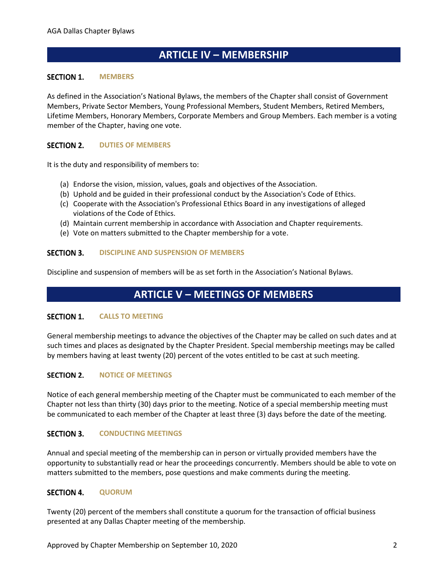### **ARTICLE IV – MEMBERSHIP**

#### <span id="page-4-1"></span><span id="page-4-0"></span>**SECTION 1. MEMBERS**

As defined in the Association's National Bylaws, the members of the Chapter shall consist of Government Members, Private Sector Members, Young Professional Members, Student Members, Retired Members, Lifetime Members, Honorary Members, Corporate Members and Group Members. Each member is a voting member of the Chapter, having one vote.

#### <span id="page-4-2"></span>**SECTION 2. DUTIES OF MEMBERS**

It is the duty and responsibility of members to:

- (a) Endorse the vision, mission, values, goals and objectives of the Association.
- (b) Uphold and be guided in their professional conduct by the Association's Code of Ethics.
- (c) Cooperate with the Association's Professional Ethics Board in any investigations of alleged violations of the Code of Ethics.
- (d) Maintain current membership in accordance with Association and Chapter requirements.
- (e) Vote on matters submitted to the Chapter membership for a vote.

#### <span id="page-4-3"></span>**SECTION 3. DISCIPLINE AND SUSPENSION OF MEMBERS**

<span id="page-4-4"></span>Discipline and suspension of members will be as set forth in the Association's National Bylaws.

### **ARTICLE V – MEETINGS OF MEMBERS**

#### <span id="page-4-5"></span>**SECTION 1. CALLS TO MEETING**

General membership meetings to advance the objectives of the Chapter may be called on such dates and at such times and places as designated by the Chapter President. Special membership meetings may be called by members having at least twenty (20) percent of the votes entitled to be cast at such meeting.

#### <span id="page-4-6"></span>**SECTION 2. NOTICE OF MEETINGS**

Notice of each general membership meeting of the Chapter must be communicated to each member of the Chapter not less than thirty (30) days prior to the meeting. Notice of a special membership meeting must be communicated to each member of the Chapter at least three (3) days before the date of the meeting.

#### <span id="page-4-7"></span>**SECTION 3. CONDUCTING MEETINGS**

Annual and special meeting of the membership can in person or virtually provided members have the opportunity to substantially read or hear the proceedings concurrently. Members should be able to vote on matters submitted to the members, pose questions and make comments during the meeting.

#### <span id="page-4-8"></span>**SECTION 4. QUORUM**

Twenty (20) percent of the members shall constitute a quorum for the transaction of official business presented at any Dallas Chapter meeting of the membership.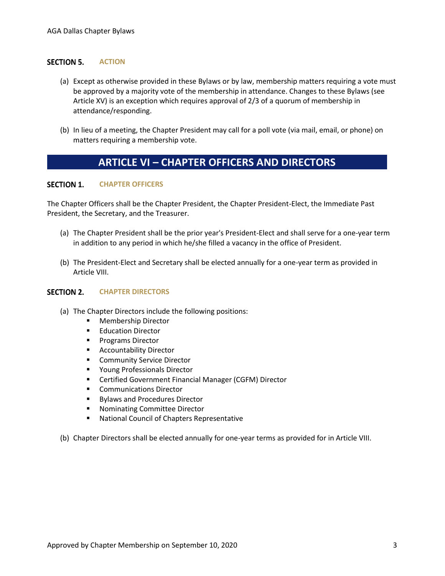#### <span id="page-5-0"></span>**SECTION 5. ACTION**

- (a) Except as otherwise provided in these Bylaws or by law, membership matters requiring a vote must be approved by a majority vote of the membership in attendance. Changes to these Bylaws (see Article XV) is an exception which requires approval of 2/3 of a quorum of membership in attendance/responding.
- (b) In lieu of a meeting, the Chapter President may call for a poll vote (via mail, email, or phone) on matters requiring a membership vote.

### **ARTICLE VI – CHAPTER OFFICERS AND DIRECTORS**

#### <span id="page-5-2"></span><span id="page-5-1"></span>**SECTION 1. CHAPTER OFFICERS**

The Chapter Officers shall be the Chapter President, the Chapter President-Elect, the Immediate Past President, the Secretary, and the Treasurer.

- (a) The Chapter President shall be the prior year's President-Elect and shall serve for a one-year term in addition to any period in which he/she filled a vacancy in the office of President.
- (b) The President-Elect and Secretary shall be elected annually for a one-year term as provided in Article VIII.

#### <span id="page-5-3"></span>**SECTION 2. CHAPTER DIRECTORS**

- (a) The Chapter Directors include the following positions:
	- **Membership Director**
	- **Education Director**
	- Programs Director
	- Accountability Director
	- Community Service Director
	- Young Professionals Director
	- Certified Government Financial Manager (CGFM) Director
	- Communications Director
	- **Bylaws and Procedures Director**
	- Nominating Committee Director
	- National Council of Chapters Representative
- (b) Chapter Directors shall be elected annually for one-year terms as provided for in Article VIII.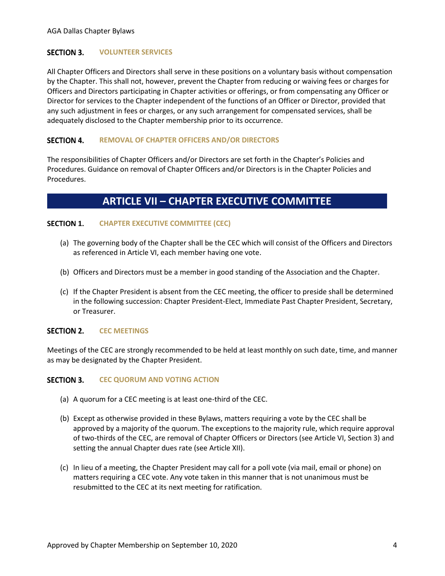#### <span id="page-6-0"></span>**SECTION 3. VOLUNTEER SERVICES**

All Chapter Officers and Directors shall serve in these positions on a voluntary basis without compensation by the Chapter. This shall not, however, prevent the Chapter from reducing or waiving fees or charges for Officers and Directors participating in Chapter activities or offerings, or from compensating any Officer or Director for services to the Chapter independent of the functions of an Officer or Director, provided that any such adjustment in fees or charges, or any such arrangement for compensated services, shall be adequately disclosed to the Chapter membership prior to its occurrence.

#### <span id="page-6-1"></span>**SECTION 4. REMOVAL OF CHAPTER OFFICERS AND/OR DIRECTORS**

The responsibilities of Chapter Officers and/or Directors are set forth in the Chapter's Policies and Procedures. Guidance on removal of Chapter Officers and/or Directors is in the Chapter Policies and Procedures.

### **ARTICLE VII – CHAPTER EXECUTIVE COMMITTEE**

#### <span id="page-6-3"></span><span id="page-6-2"></span>**SECTION 1. CHAPTER EXECUTIVE COMMITTEE (CEC)**

- (a) The governing body of the Chapter shall be the CEC which will consist of the Officers and Directors as referenced in Article VI, each member having one vote.
- (b) Officers and Directors must be a member in good standing of the Association and the Chapter.
- (c) If the Chapter President is absent from the CEC meeting, the officer to preside shall be determined in the following succession: Chapter President-Elect, Immediate Past Chapter President, Secretary, or Treasurer.

#### <span id="page-6-4"></span>**SECTION 2. CEC MEETINGS**

Meetings of the CEC are strongly recommended to be held at least monthly on such date, time, and manner as may be designated by the Chapter President.

#### <span id="page-6-5"></span>**SECTION 3. CEC QUORUM AND VOTING ACTION**

- (a) A quorum for a CEC meeting is at least one-third of the CEC.
- (b) Except as otherwise provided in these Bylaws, matters requiring a vote by the CEC shall be approved by a majority of the quorum. The exceptions to the majority rule, which require approval of two-thirds of the CEC, are removal of Chapter Officers or Directors (see Article VI, Section 3) and setting the annual Chapter dues rate (see Article XII).
- (c) In lieu of a meeting, the Chapter President may call for a poll vote (via mail, email or phone) on matters requiring a CEC vote. Any vote taken in this manner that is not unanimous must be resubmitted to the CEC at its next meeting for ratification.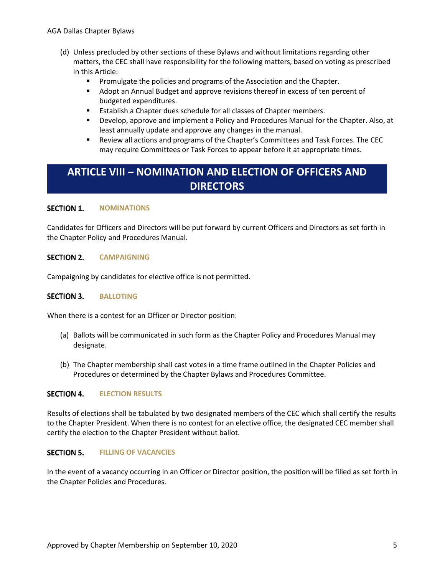- (d) Unless precluded by other sections of these Bylaws and without limitations regarding other matters, the CEC shall have responsibility for the following matters, based on voting as prescribed in this Article:
	- Promulgate the policies and programs of the Association and the Chapter.
	- **■** Adopt an Annual Budget and approve revisions thereof in excess of ten percent of budgeted expenditures.
	- Establish a Chapter dues schedule for all classes of Chapter members.
	- Develop, approve and implement a Policy and Procedures Manual for the Chapter. Also, at least annually update and approve any changes in the manual.
	- **EXECT** Review all actions and programs of the Chapter's Committees and Task Forces. The CEC may require Committees or Task Forces to appear before it at appropriate times.

### <span id="page-7-0"></span>**ARTICLE VIII – NOMINATION AND ELECTION OF OFFICERS AND DIRECTORS**

#### <span id="page-7-1"></span>**SECTION 1. NOMINATIONS**

Candidates for Officers and Directors will be put forward by current Officers and Directors as set forth in the Chapter Policy and Procedures Manual.

#### <span id="page-7-2"></span>**SECTION 2. CAMPAIGNING**

Campaigning by candidates for elective office is not permitted.

#### <span id="page-7-3"></span>**SECTION 3. BALLOTING**

When there is a contest for an Officer or Director position:

- (a) Ballots will be communicated in such form as the Chapter Policy and Procedures Manual may designate.
- (b) The Chapter membership shall cast votes in a time frame outlined in the Chapter Policies and Procedures or determined by the Chapter Bylaws and Procedures Committee.

#### <span id="page-7-4"></span>**SECTION 4. ELECTION RESULTS**

Results of elections shall be tabulated by two designated members of the CEC which shall certify the results to the Chapter President. When there is no contest for an elective office, the designated CEC member shall certify the election to the Chapter President without ballot.

#### <span id="page-7-5"></span>**SECTION 5. FILLING OF VACANCIES**

In the event of a vacancy occurring in an Officer or Director position, the position will be filled as set forth in the Chapter Policies and Procedures.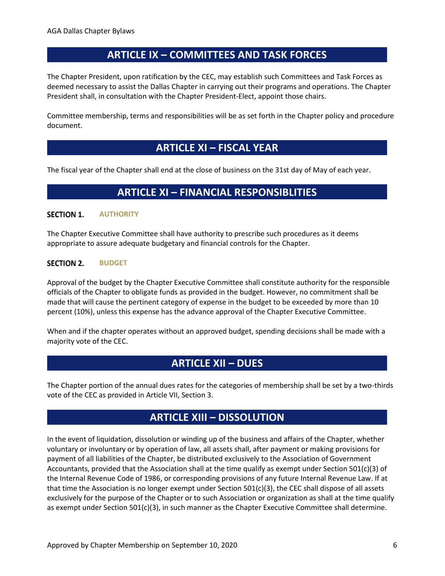### **ARTICLE IX – COMMITTEES AND TASK FORCES**

<span id="page-8-0"></span>The Chapter President, upon ratification by the CEC, may establish such Committees and Task Forces as deemed necessary to assist the Dallas Chapter in carrying out their programs and operations. The Chapter President shall, in consultation with the Chapter President-Elect, appoint those chairs.

Committee membership, terms and responsibilities will be as set forth in the Chapter policy and procedure document.

### **ARTICLE XI – FISCAL YEAR**

<span id="page-8-2"></span><span id="page-8-1"></span>The fiscal year of the Chapter shall end at the close of business on the 31st day of May of each year.

### **ARTICLE XI – FINANCIAL RESPONSIBLITIES**

#### <span id="page-8-3"></span>**SECTION 1. AUTHORITY**

The Chapter Executive Committee shall have authority to prescribe such procedures as it deems appropriate to assure adequate budgetary and financial controls for the Chapter.

#### <span id="page-8-4"></span>**SECTION 2. BUDGET**

Approval of the budget by the Chapter Executive Committee shall constitute authority for the responsible officials of the Chapter to obligate funds as provided in the budget. However, no commitment shall be made that will cause the pertinent category of expense in the budget to be exceeded by more than 10 percent (10%), unless this expense has the advance approval of the Chapter Executive Committee.

When and if the chapter operates without an approved budget, spending decisions shall be made with a majority vote of the CEC.

### **ARTICLE XII – DUES**

<span id="page-8-5"></span>The Chapter portion of the annual dues rates for the categories of membership shall be set by a two-thirds vote of the CEC as provided in Article VII, Section 3.

### **ARTICLE XIII – DISSOLUTION**

<span id="page-8-6"></span>In the event of liquidation, dissolution or winding up of the business and affairs of the Chapter, whether voluntary or involuntary or by operation of law, all assets shall, after payment or making provisions for payment of all liabilities of the Chapter, be distributed exclusively to the Association of Government Accountants, provided that the Association shall at the time qualify as exempt under Section 501(c)(3) of the Internal Revenue Code of 1986, or corresponding provisions of any future Internal Revenue Law. If at that time the Association is no longer exempt under Section 501(c)(3), the CEC shall dispose of all assets exclusively for the purpose of the Chapter or to such Association or organization as shall at the time qualify as exempt under Section 501(c)(3), in such manner as the Chapter Executive Committee shall determine.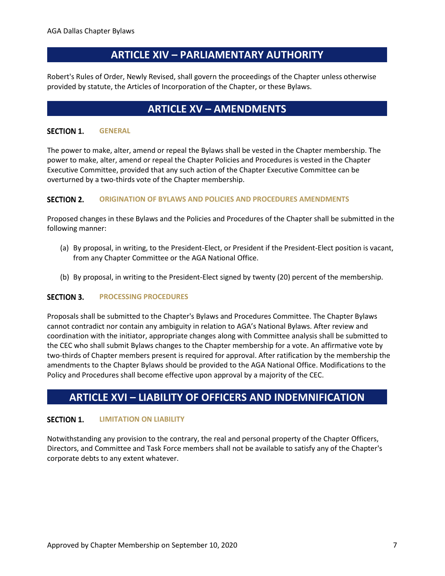### **ARTICLE XIV – PARLIAMENTARY AUTHORITY**

<span id="page-9-0"></span>Robert's Rules of Order, Newly Revised, shall govern the proceedings of the Chapter unless otherwise provided by statute, the Articles of Incorporation of the Chapter, or these Bylaws.

### **ARTICLE XV – AMENDMENTS**

#### <span id="page-9-2"></span><span id="page-9-1"></span>**SECTION 1. GENERAL**

The power to make, alter, amend or repeal the Bylaws shall be vested in the Chapter membership. The power to make, alter, amend or repeal the Chapter Policies and Procedures is vested in the Chapter Executive Committee, provided that any such action of the Chapter Executive Committee can be overturned by a two-thirds vote of the Chapter membership.

#### <span id="page-9-3"></span>**SECTION 2. ORIGINATION OF BYLAWS AND POLICIES AND PROCEDURES AMENDMENTS**

Proposed changes in these Bylaws and the Policies and Procedures of the Chapter shall be submitted in the following manner:

- (a) By proposal, in writing, to the President-Elect, or President if the President-Elect position is vacant, from any Chapter Committee or the AGA National Office.
- (b) By proposal, in writing to the President-Elect signed by twenty (20) percent of the membership.

#### <span id="page-9-4"></span>**SECTION 3. PROCESSING PROCEDURES**

Proposals shall be submitted to the Chapter's Bylaws and Procedures Committee. The Chapter Bylaws cannot contradict nor contain any ambiguity in relation to AGA's National Bylaws. After review and coordination with the initiator, appropriate changes along with Committee analysis shall be submitted to the CEC who shall submit Bylaws changes to the Chapter membership for a vote. An affirmative vote by two-thirds of Chapter members present is required for approval. After ratification by the membership the amendments to the Chapter Bylaws should be provided to the AGA National Office. Modifications to the Policy and Procedures shall become effective upon approval by a majority of the CEC.

### <span id="page-9-5"></span>**ARTICLE XVI – LIABILITY OF OFFICERS AND INDEMNIFICATION**

#### <span id="page-9-6"></span>**SECTION 1. LIMITATION ON LIABILITY**

Notwithstanding any provision to the contrary, the real and personal property of the Chapter Officers, Directors, and Committee and Task Force members shall not be available to satisfy any of the Chapter's corporate debts to any extent whatever.